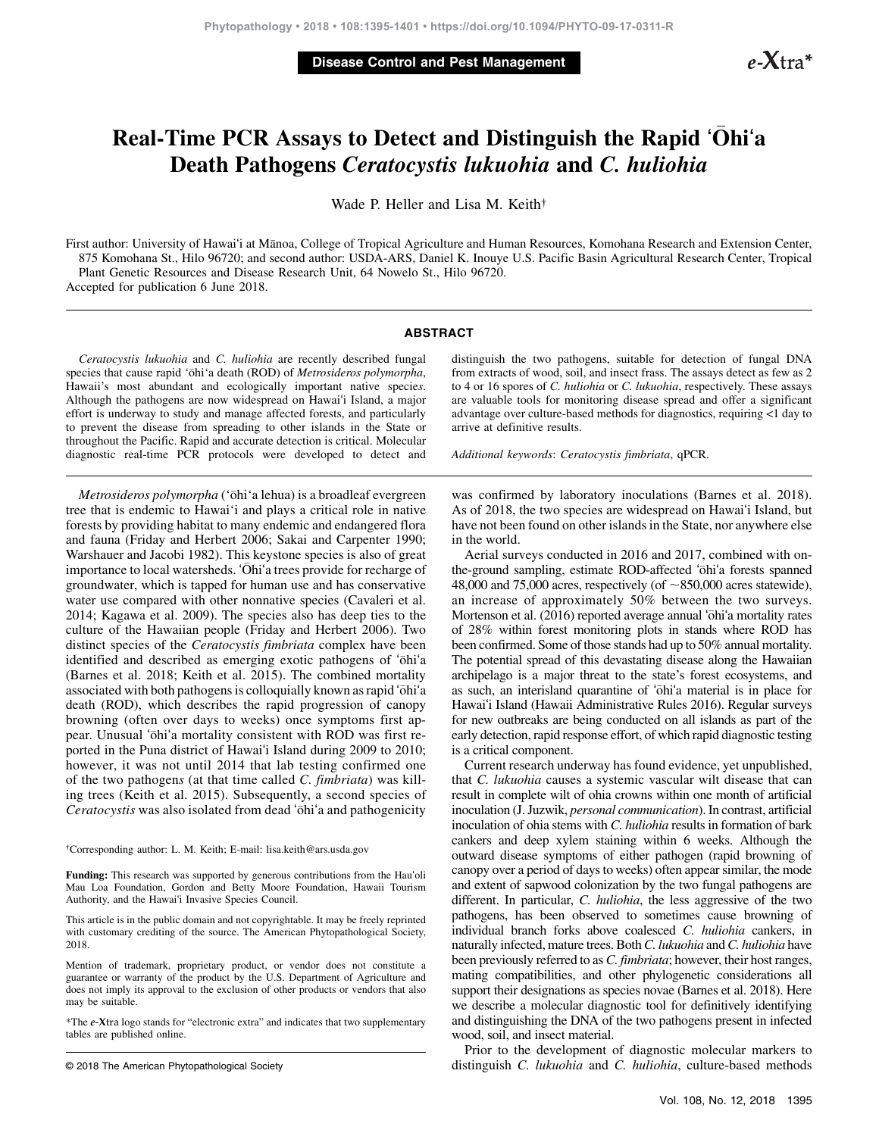Disease Control and Pest Management



# Real-Time PCR Assays to Detect and Distinguish the Rapid ʻOhi ʻa Death Pathogens Ceratocystis lukuohia and C. huliohia

Wade P. Heller and Lisa M. Keith†

First author: University of Hawaiʻi at Manoa, College of Tropical Agriculture and Human Resources, Komohana Research and Extension Center, 875 Komohana St., Hilo 96720; and second author: USDA-ARS, Daniel K. Inouye U.S. Pacific Basin Agricultural Research Center, Tropical Plant Genetic Resources and Disease Research Unit, 64 Nowelo St., Hilo 96720. Accepted for publication 6 June 2018.

#### ABSTRACT

Ceratocystis lukuohia and C. huliohia are recently described fungal species that cause rapid 'ōhi'a death (ROD) of Metrosideros polymorpha, Hawaii's most abundant and ecologically important native species. Although the pathogens are now widespread on Hawaiʻi Island, a major effort is underway to study and manage affected forests, and particularly to prevent the disease from spreading to other islands in the State or throughout the Pacific. Rapid and accurate detection is critical. Molecular diagnostic real-time PCR protocols were developed to detect and

Metrosideros polymorpha ('ōhi'a lehua) is a broadleaf evergreen tree that is endemic to Hawai'i and plays a critical role in native forests by providing habitat to many endemic and endangered flora and fauna [\(Friday and Herbert 2006;](#page-5-0) [Sakai and Carpenter 1990](#page-6-0); [Warshauer and Jacobi 1982\)](#page-6-0). This keystone species is also of great importance to local watersheds. ʻOhi ʻa trees provide for recharge of groundwater, which is tapped for human use and has conservative water use compared with other nonnative species ([Cavaleri et al.](#page-5-0) [2014; Kagawa et al. 2009](#page-5-0)). The species also has deep ties to the culture of the Hawaiian people [\(Friday and Herbert 2006](#page-5-0)). Two distinct species of the Ceratocystis fimbriata complex have been identified and described as emerging exotic pathogens of 'ōhi'a ([Barnes et al. 2018; Keith et al. 2015\)](#page-5-0). The combined mortality associated with both pathogens is colloquially known as rapid 'ōhi'a death (ROD), which describes the rapid progression of canopy browning (often over days to weeks) once symptoms first appear. Unusual 'ōhi'a mortality consistent with ROD was first reported in the Puna district of Hawaiʻi Island during 2009 to 2010; however, it was not until 2014 that lab testing confirmed one of the two pathogens (at that time called C. fimbriata) was killing trees [\(Keith et al. 2015\)](#page-5-0). Subsequently, a second species of Ceratocystis was also isolated from dead 'ōhi'a and pathogenicity

†Corresponding author: L. M. Keith; E-mail: [lisa.keith@ars.usda.gov](mailto:lisa.keith@ars.usda.gov)

Funding: This research was supported by generous contributions from the Hauʻoli Mau Loa Foundation, Gordon and Betty Moore Foundation, Hawaii Tourism Authority, and the Hawaiʻi Invasive Species Council.

This article is in the public domain and not copyrightable. It may be freely reprinted with customary crediting of the source. The American Phytopathological Society, 2018.

Mention of trademark, proprietary product, or vendor does not constitute a guarantee or warranty of the product by the U.S. Department of Agriculture and does not imply its approval to the exclusion of other products or vendors that also may be suitable.

\*The e-Xtra logo stands for "electronic extra" and indicates that two supplementary tables are published online.

© 2018 The American Phytopathological Society

distinguish the two pathogens, suitable for detection of fungal DNA from extracts of wood, soil, and insect frass. The assays detect as few as 2 to 4 or 16 spores of C. huliohia or C. lukuohia, respectively. These assays are valuable tools for monitoring disease spread and offer a significant advantage over culture-based methods for diagnostics, requiring <1 day to arrive at definitive results.

Additional keywords: Ceratocystis fimbriata, qPCR.

was confirmed by laboratory inoculations ([Barnes et al. 2018](#page-5-0)). As of 2018, the two species are widespread on Hawaiʻi Island, but have not been found on other islands in the State, nor anywhere else in the world.

Aerial surveys conducted in 2016 and 2017, combined with onthe-ground sampling, estimate ROD-affected ʻohiʻa forests spanned 48,000 and 75,000 acres, respectively (of  $\sim$ 850,000 acres statewide), an increase of approximately 50% between the two surveys. [Mortenson et al. \(2016\)](#page-5-0) reported average annual 'ōhi'a mortality rates of 28% within forest monitoring plots in stands where ROD has been confirmed. Some of those stands had up to 50% annual mortality. The potential spread of this devastating disease along the Hawaiian archipelago is a major threat to the state's forest ecosystems, and as such, an interisland quarantine of ʻohiʻa material is in place for Hawaiʻi Island [\(Hawaii Administrative Rules 2016\)](#page-5-0). Regular surveys for new outbreaks are being conducted on all islands as part of the early detection, rapid response effort, of which rapid diagnostic testing is a critical component.

Current research underway has found evidence, yet unpublished, that C. lukuohia causes a systemic vascular wilt disease that can result in complete wilt of ohia crowns within one month of artificial inoculation (J. Juzwik, personal communication). In contrast, artificial inoculation of ohia stems with C. huliohia results in formation of bark cankers and deep xylem staining within 6 weeks. Although the outward disease symptoms of either pathogen (rapid browning of canopy over a period of days to weeks) often appear similar, the mode and extent of sapwood colonization by the two fungal pathogens are different. In particular, C. huliohia, the less aggressive of the two pathogens, has been observed to sometimes cause browning of individual branch forks above coalesced C. huliohia cankers, in naturally infected, mature trees. Both C. lukuohia and C. huliohia have been previously referred to as *C. fimbriata*; however, their host ranges, mating compatibilities, and other phylogenetic considerations all support their designations as species novae [\(Barnes et al. 2018\)](#page-5-0). Here we describe a molecular diagnostic tool for definitively identifying and distinguishing the DNA of the two pathogens present in infected wood, soil, and insect material.

Prior to the development of diagnostic molecular markers to distinguish C. lukuohia and C. huliohia, culture-based methods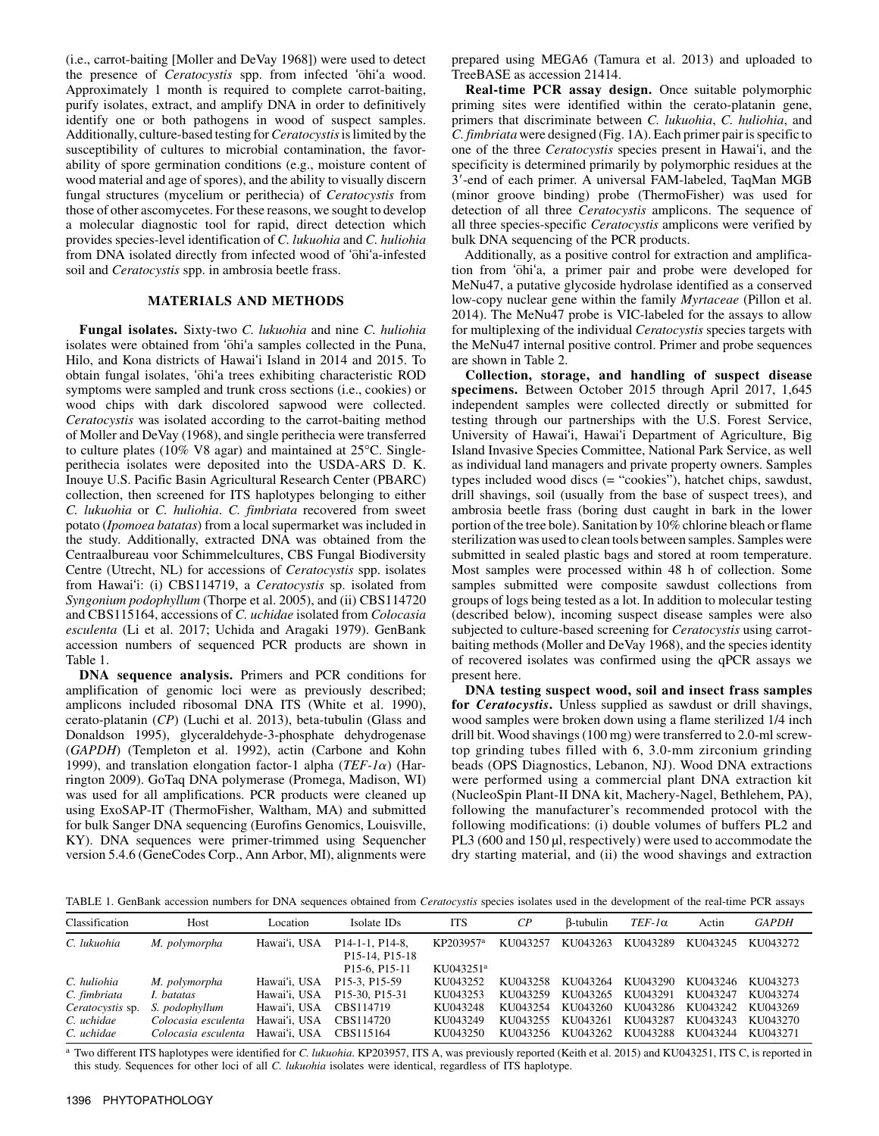<span id="page-1-0"></span>(i.e., carrot-baiting [[Moller and DeVay 1968\]](#page-5-0)) were used to detect the presence of *Ceratocystis* spp. from infected 'ōhi'a wood. Approximately 1 month is required to complete carrot-baiting, purify isolates, extract, and amplify DNA in order to definitively identify one or both pathogens in wood of suspect samples. Additionally, culture-based testing for Ceratocystis is limited by the susceptibility of cultures to microbial contamination, the favorability of spore germination conditions (e.g., moisture content of wood material and age of spores), and the ability to visually discern fungal structures (mycelium or perithecia) of Ceratocystis from those of other ascomycetes. For these reasons, we sought to develop a molecular diagnostic tool for rapid, direct detection which provides species-level identification of C. lukuohia and C. huliohia from DNA isolated directly from infected wood of 'ōhi'a-infested soil and *Ceratocystis* spp. in ambrosia beetle frass.

# MATERIALS AND METHODS

Fungal isolates. Sixty-two C. lukuohia and nine C. huliohia isolates were obtained from 'ōhi'a samples collected in the Puna, Hilo, and Kona districts of Hawaiʻi Island in 2014 and 2015. To obtain fungal isolates, ʻohiʻa trees exhibiting characteristic ROD symptoms were sampled and trunk cross sections (i.e., cookies) or wood chips with dark discolored sapwood were collected. Ceratocystis was isolated according to the carrot-baiting method of [Moller and DeVay \(1968\),](#page-5-0) and single perithecia were transferred to culture plates (10% V8 agar) and maintained at  $25^{\circ}$ C. Singleperithecia isolates were deposited into the USDA-ARS D. K. Inouye U.S. Pacific Basin Agricultural Research Center (PBARC) collection, then screened for ITS haplotypes belonging to either C. lukuohia or C. huliohia. C. fimbriata recovered from sweet potato (Ipomoea batatas) from a local supermarket was included in the study. Additionally, extracted DNA was obtained from the Centraalbureau voor Schimmelcultures, CBS Fungal Biodiversity Centre (Utrecht, NL) for accessions of Ceratocystis spp. isolates from Hawaiʻi: (i) CBS114719, a Ceratocystis sp. isolated from Syngonium podophyllum ([Thorpe et al. 2005\)](#page-6-0), and (ii) CBS114720 and CBS115164, accessions of C. uchidae isolated from Colocasia esculenta ([Li et al. 2017](#page-5-0); [Uchida and Aragaki 1979\)](#page-6-0). GenBank accession numbers of sequenced PCR products are shown in Table 1.

DNA sequence analysis. Primers and PCR conditions for amplification of genomic loci were as previously described; amplicons included ribosomal DNA ITS ([White et al. 1990](#page-6-0)), cerato-platanin (CP) ([Luchi et al. 2013\)](#page-5-0), beta-tubulin ([Glass and](#page-5-0) [Donaldson 1995\)](#page-5-0), glyceraldehyde-3-phosphate dehydrogenase (GAPDH) [\(Templeton et al. 1992](#page-6-0)), actin [\(Carbone and Kohn](#page-5-0) [1999\)](#page-5-0), and translation elongation factor-1 alpha ( $TEF-I\alpha$ ) ([Har](#page-5-0)[rington 2009](#page-5-0)). GoTaq DNA polymerase (Promega, Madison, WI) was used for all amplifications. PCR products were cleaned up using ExoSAP-IT (ThermoFisher, Waltham, MA) and submitted for bulk Sanger DNA sequencing (Eurofins Genomics, Louisville, KY). DNA sequences were primer-trimmed using Sequencher version 5.4.6 (GeneCodes Corp., Ann Arbor, MI), alignments were prepared using MEGA6 [\(Tamura et al. 2013\)](#page-6-0) and uploaded to TreeBASE as accession 21414.

Real-time PCR assay design. Once suitable polymorphic priming sites were identified within the cerato-platanin gene, primers that discriminate between C. lukuohia, C. huliohia, and C. fimbriata were designed [\(Fig. 1A](#page-2-0)). Each primer pair is specific to one of the three Ceratocystis species present in Hawaiʻi, and the specificity is determined primarily by polymorphic residues at the 3'-end of each primer. A universal FAM-labeled, TaqMan MGB (minor groove binding) probe (ThermoFisher) was used for detection of all three Ceratocystis amplicons. The sequence of all three species-specific Ceratocystis amplicons were verified by bulk DNA sequencing of the PCR products.

Additionally, as a positive control for extraction and amplification from ʻohiʻa, a primer pair and probe were developed for MeNu47, a putative glycoside hydrolase identified as a conserved low-copy nuclear gene within the family Myrtaceae [\(Pillon et al.](#page-5-0) [2014\)](#page-5-0). The MeNu47 probe is VIC-labeled for the assays to allow for multiplexing of the individual Ceratocystis species targets with the MeNu47 internal positive control. Primer and probe sequences are shown in [Table 2](#page-2-0).

Collection, storage, and handling of suspect disease specimens. Between October 2015 through April 2017, 1,645 independent samples were collected directly or submitted for testing through our partnerships with the U.S. Forest Service, University of Hawaiʻi, Hawaiʻi Department of Agriculture, Big Island Invasive Species Committee, National Park Service, as well as individual land managers and private property owners. Samples types included wood discs (= "cookies"), hatchet chips, sawdust, drill shavings, soil (usually from the base of suspect trees), and ambrosia beetle frass (boring dust caught in bark in the lower portion of the tree bole). Sanitation by 10% chlorine bleach or flame sterilization was used to clean tools between samples. Samples were submitted in sealed plastic bags and stored at room temperature. Most samples were processed within 48 h of collection. Some samples submitted were composite sawdust collections from groups of logs being tested as a lot. In addition to molecular testing (described below), incoming suspect disease samples were also subjected to culture-based screening for Ceratocystis using carrotbaiting methods [\(Moller and DeVay 1968\)](#page-5-0), and the species identity of recovered isolates was confirmed using the qPCR assays we present here.

DNA testing suspect wood, soil and insect frass samples for Ceratocystis. Unless supplied as sawdust or drill shavings, wood samples were broken down using a flame sterilized 1/4 inch drill bit. Wood shavings (100 mg) were transferred to 2.0-ml screwtop grinding tubes filled with 6, 3.0-mm zirconium grinding beads (OPS Diagnostics, Lebanon, NJ). Wood DNA extractions were performed using a commercial plant DNA extraction kit (NucleoSpin Plant-II DNA kit, Machery-Nagel, Bethlehem, PA), following the manufacturer's recommended protocol with the following modifications: (i) double volumes of buffers PL2 and PL3 (600 and 150 µl, respectively) were used to accommodate the dry starting material, and (ii) the wood shavings and extraction

TABLE 1. GenBank accession numbers for DNA sequences obtained from *Ceratocystis* species isolates used in the development of the real-time PCR assays

| Classification   | Host                | Location     | Isolate IDs                                                       | <b>ITS</b>            | $\mathcal{C}P$ | B-tubulin | $TEF-I\alpha$ | Actin    | <b>GAPDH</b> |
|------------------|---------------------|--------------|-------------------------------------------------------------------|-----------------------|----------------|-----------|---------------|----------|--------------|
| C. lukuohia      | M. polymorpha       | Hawai'i, USA | $P14-1-1$ , $P14-8$ .<br>P <sub>15</sub> -14, P <sub>15</sub> -18 | KP203957 <sup>a</sup> | KU043257       | KU043263  | KU043289      | KU043245 | KU043272     |
|                  |                     |              | P <sub>15</sub> -6, P <sub>15</sub> -11                           | KU043251 <sup>a</sup> |                |           |               |          |              |
| C. huliohia      | M. polymorpha       | Hawai'i, USA | P <sub>15</sub> -3, P <sub>15</sub> -59                           | KU043252              | KU043258       | KU043264  | KU043290      | KU043246 | KU043273     |
| C. fimbriata     | I. batatas          | Hawai'i, USA | P <sub>15</sub> -30, P <sub>15</sub> -31                          | KU043253              | KU043259       | KU043265  | KU043291      | KU043247 | KU043274     |
| Ceratocystis sp. | S. podophyllum      | Hawai'i, USA | CBS114719                                                         | KU043248              | KU043254       | KU043260  | KU043286      | KU043242 | KU043269     |
| C. uchidae       | Colocasia esculenta | Hawai'i, USA | CBS114720                                                         | KU043249              | KU043255       | KU043261  | KU043287      | KU043243 | KU043270     |
| C. uchidae       | Colocasia esculenta | Hawai'i. USA | CBS115164                                                         | KU043250              | KU043256       | KU043262  | KU043288      | KU043244 | KU043271     |

<sup>a</sup> Two different ITS haplotypes were identified for *C. lukuohia.* KP203957, ITS A, was previously reported [\(Keith et al. 2015\)](#page-5-0) and KU043251, ITS C, is reported in this study. Sequences for other loci of all C. lukuohia isolates were identical, regardless of ITS haplotype.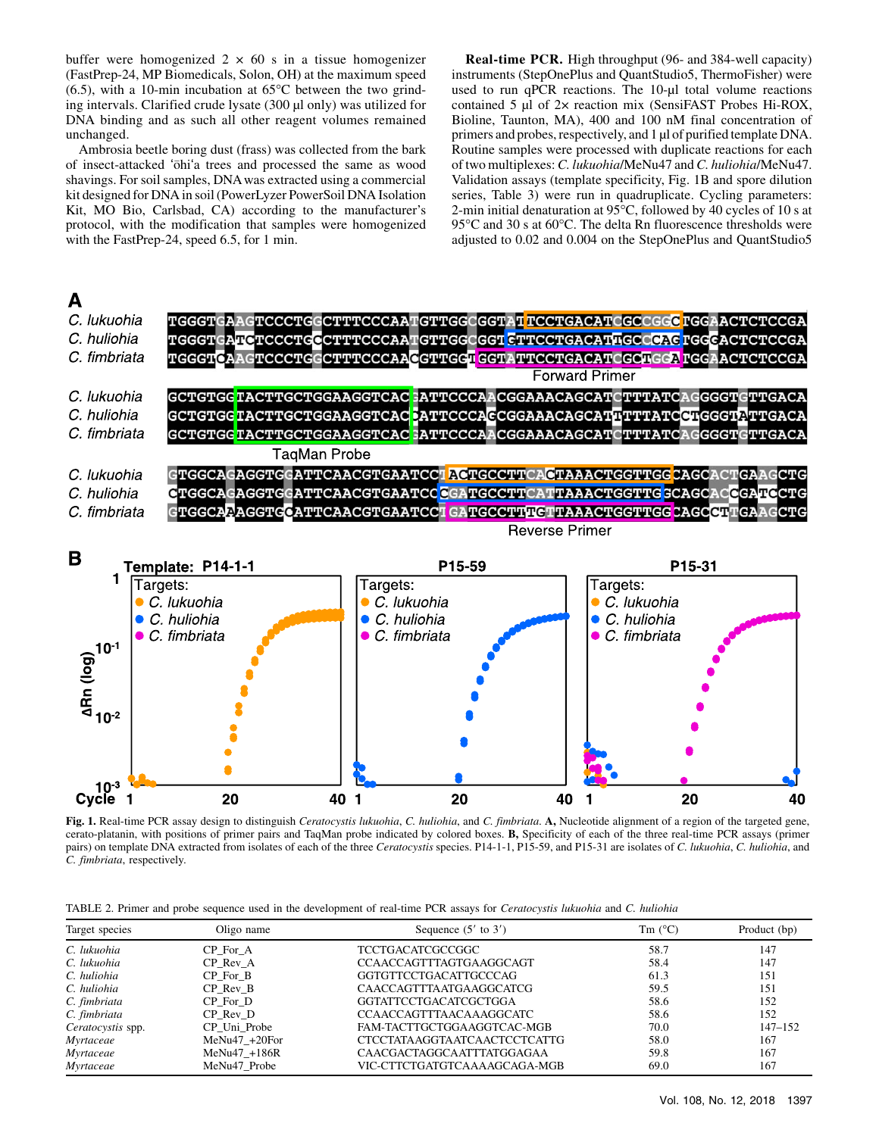<span id="page-2-0"></span>buffer were homogenized  $2 \times 60$  s in a tissue homogenizer (FastPrep-24, MP Biomedicals, Solon, OH) at the maximum speed  $(6.5)$ , with a 10-min incubation at 65 $\degree$ C between the two grinding intervals. Clarified crude lysate (300 µl only) was utilized for DNA binding and as such all other reagent volumes remained unchanged.

Ambrosia beetle boring dust (frass) was collected from the bark of insect-attacked ʻohiʻa trees and processed the same as wood shavings. For soil samples, DNA was extracted using a commercial kit designed for DNA in soil (PowerLyzer PowerSoil DNA Isolation Kit, MO Bio, Carlsbad, CA) according to the manufacturer's protocol, with the modification that samples were homogenized with the FastPrep-24, speed 6.5, for 1 min.

Real-time PCR. High throughput (96- and 384-well capacity) instruments (StepOnePlus and QuantStudio5, ThermoFisher) were used to run qPCR reactions. The 10-µl total volume reactions contained 5 µl of 2× reaction mix (SensiFAST Probes Hi-ROX, Bioline, Taunton, MA), 400 and 100 nM final concentration of primers and probes, respectively, and 1 µl of purified template DNA. Routine samples were processed with duplicate reactions for each of two multiplexes: C. lukuohia/MeNu47 and C. huliohia/MeNu47. Validation assays (template specificity, Fig. 1B and spore dilution series, [Table 3](#page-3-0)) were run in quadruplicate. Cycling parameters: 2-min initial denaturation at  $95^{\circ}$ C, followed by 40 cycles of 10 s at 95°C and 30 s at 60°C. The delta Rn fluorescence thresholds were adjusted to 0.02 and 0.004 on the StepOnePlus and QuantStudio5



Fig. 1. Real-time PCR assay design to distinguish Ceratocystis lukuohia, C. huliohia, and C. fimbriata. A, Nucleotide alignment of a region of the targeted gene, cerato-platanin, with positions of primer pairs and TaqMan probe indicated by colored boxes. B, Specificity of each of the three real-time PCR assays (primer pairs) on template DNA extracted from isolates of each of the three Ceratocystis species. P14-1-1, P15-59, and P15-31 are isolates of C. lukuohia, C. huliohia, and C. fimbriata, respectively.

TABLE 2. Primer and probe sequence used in the development of real-time PCR assays for Ceratocystis lukuohia and C. huliohia

| Target species<br>Oligo name |                  | Sequence $(5'$ to $3')$      | Tm $(^{\circ}C)$ | Product (bp) |  |
|------------------------------|------------------|------------------------------|------------------|--------------|--|
| C. lukuohia                  | CP For A         | <b>TCCTGACATCGCCGGC</b>      | 58.7             | 147          |  |
| C. lukuohia                  | CP Rev A         | CCAACCAGTTTAGTGAAGGCAGT      | 58.4             | 147          |  |
| C. huliohia                  | $CP$ For $B$     | GGTGTTCCTGACATTGCCCAG        | 61.3             | 151          |  |
| C. huliohia                  | CP Rev B         | CAACCAGTTTAATGAAGGCATCG      | 59.5             | 151          |  |
| C. fimbriata                 | CP For D         | GGTATTCCTGACATCGCTGGA        | 58.6             | 152          |  |
| C. fimbriata                 | CP Rev D         | CCAACCAGTTTAACAAAGGCATC      | 58.6             | 152          |  |
| Ceratocystis spp.            | CP Uni Probe     | FAM-TACTTGCTGGAAGGTCAC-MGB   | 70.0             | $147 - 152$  |  |
| Myrtaceae                    | $MeNu47 + 20For$ | CTCCTATAAGGTAATCAACTCCTCATTG | 58.0             | 167          |  |
| Myrtaceae                    | $MeNu47 + 186R$  | CAACGACTAGGCAATTTATGGAGAA    | 59.8             | 167          |  |
| Myrtaceae                    | MeNu47 Probe     | VIC-CTTCTGATGTCAAAAGCAGA-MGB | 69.0             | 167          |  |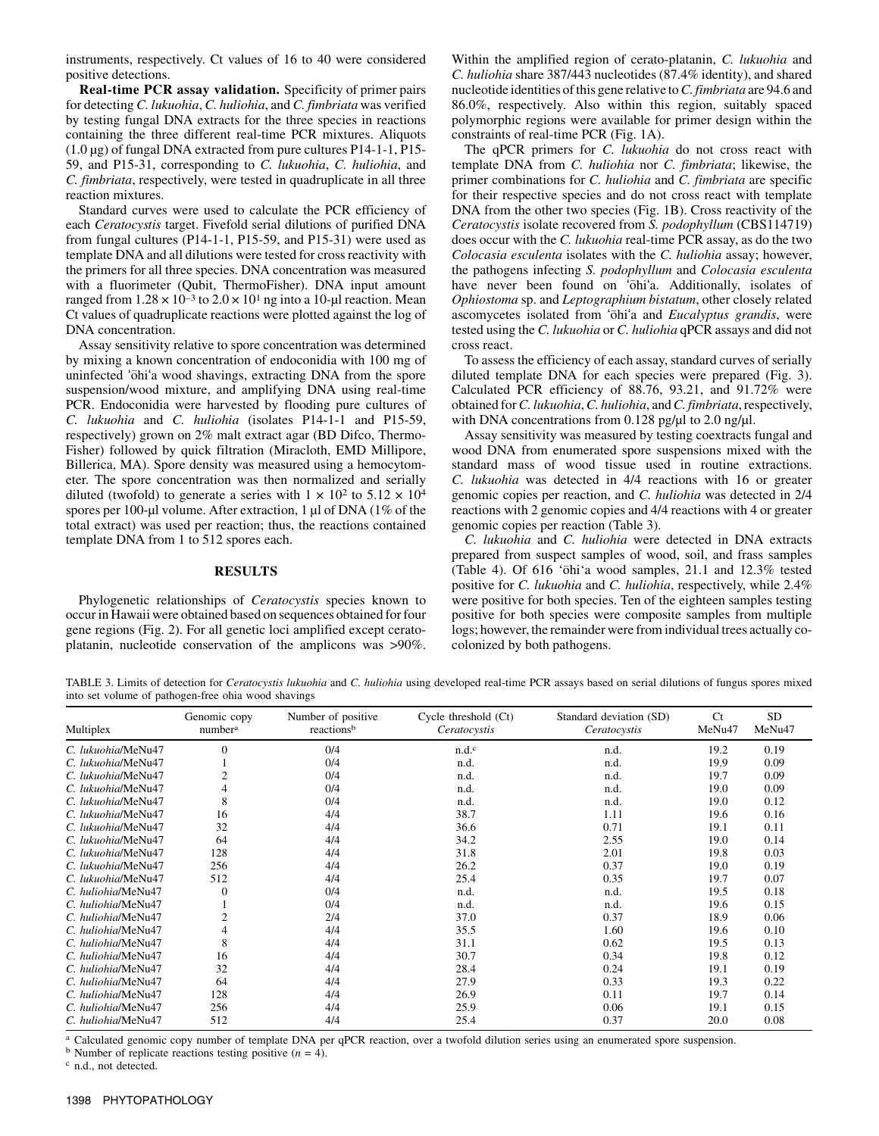<span id="page-3-0"></span>instruments, respectively. Ct values of 16 to 40 were considered positive detections.

Real-time PCR assay validation. Specificity of primer pairs for detecting C. lukuohia, C. huliohia, and C. fimbriata was verified by testing fungal DNA extracts for the three species in reactions containing the three different real-time PCR mixtures. Aliquots (1.0 µg) of fungal DNA extracted from pure cultures P14-1-1, P15- 59, and P15-31, corresponding to C. lukuohia, C. huliohia, and C. fimbriata, respectively, were tested in quadruplicate in all three reaction mixtures.

Standard curves were used to calculate the PCR efficiency of each Ceratocystis target. Fivefold serial dilutions of purified DNA from fungal cultures (P14-1-1, P15-59, and P15-31) were used as template DNA and all dilutions were tested for cross reactivity with the primers for all three species. DNA concentration was measured with a fluorimeter (Qubit, ThermoFisher). DNA input amount ranged from  $1.28 \times 10^{-3}$  to  $2.0 \times 10^{1}$  ng into a 10-µl reaction. Mean Ct values of quadruplicate reactions were plotted against the log of DNA concentration.

Assay sensitivity relative to spore concentration was determined by mixing a known concentration of endoconidia with 100 mg of uninfected ʻohiʻa wood shavings, extracting DNA from the spore suspension/wood mixture, and amplifying DNA using real-time PCR. Endoconidia were harvested by flooding pure cultures of C. lukuohia and C. huliohia (isolates P14-1-1 and P15-59, respectively) grown on 2% malt extract agar (BD Difco, Thermo-Fisher) followed by quick filtration (Miracloth, EMD Millipore, Billerica, MA). Spore density was measured using a hemocytometer. The spore concentration was then normalized and serially diluted (twofold) to generate a series with  $1 \times 10^2$  to  $5.12 \times 10^4$ spores per 100-µl volume. After extraction, 1 µl of DNA (1% of the total extract) was used per reaction; thus, the reactions contained template DNA from 1 to 512 spores each.

## RESULTS

Phylogenetic relationships of Ceratocystis species known to occur in Hawaii were obtained based on sequences obtained for four gene regions ([Fig. 2\)](#page-4-0). For all genetic loci amplified except ceratoplatanin, nucleotide conservation of the amplicons was >90%. Within the amplified region of cerato-platanin, C. lukuohia and C. huliohia share 387/443 nucleotides (87.4% identity), and shared nucleotide identities of this gene relative to C. *fimbriata* are 94.6 and 86.0%, respectively. Also within this region, suitably spaced polymorphic regions were available for primer design within the constraints of real-time PCR ([Fig. 1A\)](#page-2-0).

The qPCR primers for C. lukuohia do not cross react with template DNA from C. huliohia nor C. fimbriata; likewise, the primer combinations for C. huliohia and C. fimbriata are specific for their respective species and do not cross react with template DNA from the other two species ([Fig. 1B](#page-2-0)). Cross reactivity of the Ceratocystis isolate recovered from S. podophyllum (CBS114719) does occur with the C. lukuohia real-time PCR assay, as do the two Colocasia esculenta isolates with the C. huliohia assay; however, the pathogens infecting S. podophyllum and Colocasia esculenta have never been found on 'ōhi'a. Additionally, isolates of Ophiostoma sp. and Leptographium bistatum, other closely related ascomycetes isolated from 'ōhi'a and Eucalyptus grandis, were tested using the C. lukuohia or C. huliohia qPCR assays and did not cross react.

To assess the efficiency of each assay, standard curves of serially diluted template DNA for each species were prepared ([Fig. 3](#page-5-0)). Calculated PCR efficiency of 88.76, 93.21, and 91.72% were obtained forC. lukuohia,C. huliohia, andC. fimbriata, respectively, with DNA concentrations from  $0.128$  pg/ $\mu$ l to  $2.0$  ng/ $\mu$ l.

Assay sensitivity was measured by testing coextracts fungal and wood DNA from enumerated spore suspensions mixed with the standard mass of wood tissue used in routine extractions. C. lukuohia was detected in 4/4 reactions with 16 or greater genomic copies per reaction, and C. huliohia was detected in 2/4 reactions with 2 genomic copies and 4/4 reactions with 4 or greater genomic copies per reaction (Table 3).

C. lukuohia and C. huliohia were detected in DNA extracts prepared from suspect samples of wood, soil, and frass samples ([Table 4\)](#page-5-0). Of  $616$  ' $\overline{ohi}$  a wood samples, 21.1 and 12.3% tested positive for C. lukuohia and C. huliohia, respectively, while 2.4% were positive for both species. Ten of the eighteen samples testing positive for both species were composite samples from multiple logs; however, the remainder were from individual trees actually cocolonized by both pathogens.

TABLE 3. Limits of detection for Ceratocystis lukuohia and C. huliohia using developed real-time PCR assays based on serial dilutions of fungus spores mixed into set volume of pathogen-free ohia wood shavings

| Multiplex          | Genomic copy<br>number <sup>a</sup> | Number of positive<br>reactions <sup>b</sup> | Cycle threshold (Ct)<br>Ceratocystis | Standard deviation (SD)<br>Ceratocystis | <b>Ct</b><br>MeNu47 | <b>SD</b><br>MeNu47 |
|--------------------|-------------------------------------|----------------------------------------------|--------------------------------------|-----------------------------------------|---------------------|---------------------|
| C. lukuohia/MeNu47 | 0                                   | 0/4                                          | $n.d.^c$                             | n.d.                                    | 19.2                | 0.19                |
| C. lukuohia/MeNu47 |                                     | 0/4                                          | n.d.                                 | n.d.                                    | 19.9                | 0.09                |
| C. lukuohia/MeNu47 |                                     | 0/4                                          | n.d.                                 | n.d.                                    | 19.7                | 0.09                |
| C. lukuohia/MeNu47 |                                     | 0/4                                          | n.d.                                 | n.d.                                    | 19.0                | 0.09                |
| C. lukuohia/MeNu47 | 8                                   | 0/4                                          | n.d.                                 | n.d.                                    | 19.0                | 0.12                |
| C. lukuohia/MeNu47 | 16                                  | 4/4                                          | 38.7                                 | 1.11                                    | 19.6                | 0.16                |
| C. lukuohia/MeNu47 | 32                                  | 4/4                                          | 36.6                                 | 0.71                                    | 19.1                | 0.11                |
| C. lukuohia/MeNu47 | 64                                  | 4/4                                          | 34.2                                 | 2.55                                    | 19.0                | 0.14                |
| C. lukuohia/MeNu47 | 128                                 | 4/4                                          | 31.8                                 | 2.01                                    | 19.8                | 0.03                |
| C. lukuohia/MeNu47 | 256                                 | 4/4                                          | 26.2                                 | 0.37                                    | 19.0                | 0.19                |
| C. lukuohia/MeNu47 | 512                                 | 4/4                                          | 25.4                                 | 0.35                                    | 19.7                | 0.07                |
| C. huliohia/MeNu47 | $\Omega$                            | 0/4                                          | n.d.                                 | n.d.                                    | 19.5                | 0.18                |
| C. huliohia/MeNu47 |                                     | 0/4                                          | n.d.                                 | n.d.                                    | 19.6                | 0.15                |
| C. huliohia/MeNu47 |                                     | 2/4                                          | 37.0                                 | 0.37                                    | 18.9                | 0.06                |
| C. huliohia/MeNu47 |                                     | 4/4                                          | 35.5                                 | 1.60                                    | 19.6                | 0.10                |
| C. huliohia/MeNu47 | 8                                   | 4/4                                          | 31.1                                 | 0.62                                    | 19.5                | 0.13                |
| C. huliohia/MeNu47 | 16                                  | 4/4                                          | 30.7                                 | 0.34                                    | 19.8                | 0.12                |
| C. huliohia/MeNu47 | 32                                  | 4/4                                          | 28.4                                 | 0.24                                    | 19.1                | 0.19                |
| C. huliohia/MeNu47 | 64                                  | 4/4                                          | 27.9                                 | 0.33                                    | 19.3                | 0.22                |
| C. huliohia/MeNu47 | 128                                 | 4/4                                          | 26.9                                 | 0.11                                    | 19.7                | 0.14                |
| C. huliohia/MeNu47 | 256                                 | 4/4                                          | 25.9                                 | 0.06                                    | 19.1                | 0.15                |
| C. huliohia/MeNu47 | 512                                 | 4/4                                          | 25.4                                 | 0.37                                    | 20.0                | 0.08                |

<sup>a</sup> Calculated genomic copy number of template DNA per qPCR reaction, over a twofold dilution series using an enumerated spore suspension.

<sup>b</sup> Number of replicate reactions testing positive ( $n = 4$ ). <sup>c</sup> n.d., not detected.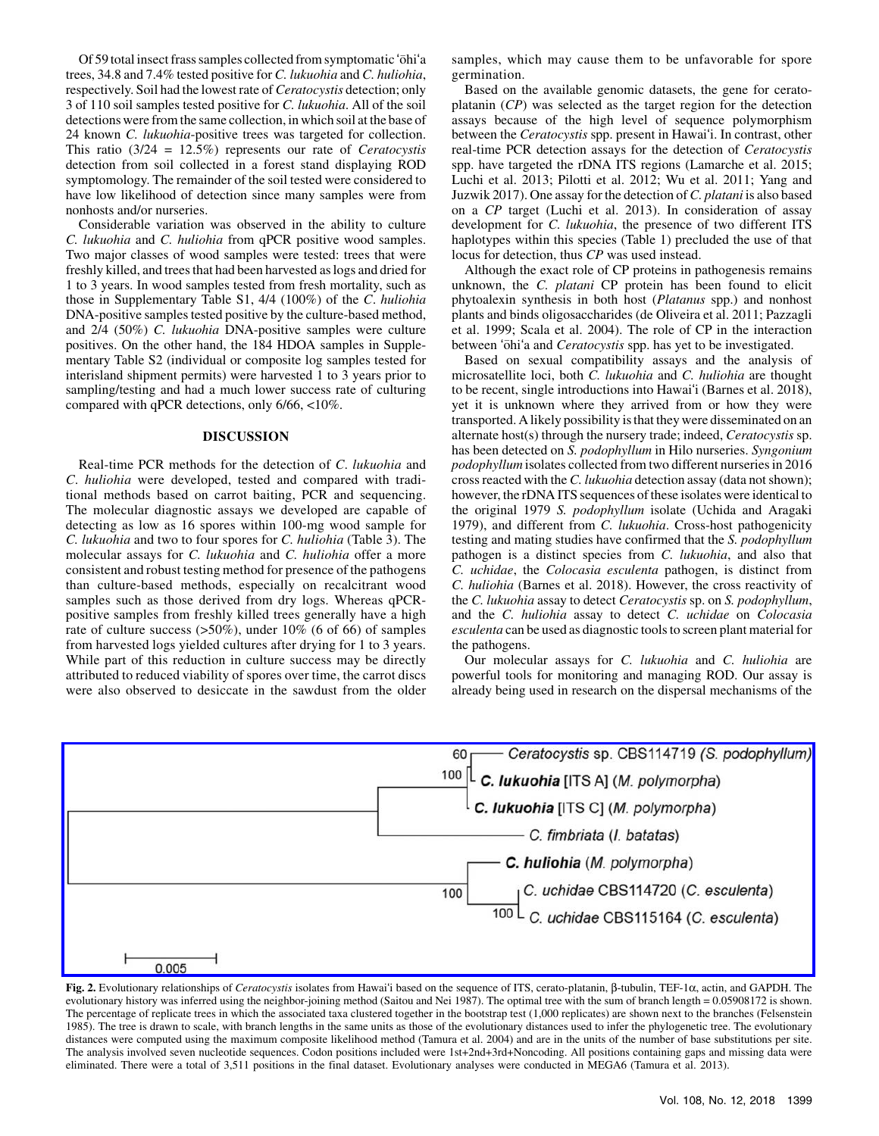<span id="page-4-0"></span>Of 59 total insect frass samples collected from symptomatic 'ohi'a trees, 34.8 and 7.4% tested positive for C. lukuohia and C. huliohia, respectively. Soil had the lowest rate of Ceratocystis detection; only 3 of 110 soil samples tested positive for C. lukuohia. All of the soil detections were from the same collection, in which soil at the base of 24 known C. lukuohia-positive trees was targeted for collection. This ratio  $(3/24 = 12.5\%)$  represents our rate of *Ceratocystis* detection from soil collected in a forest stand displaying ROD symptomology. The remainder of the soil tested were considered to have low likelihood of detection since many samples were from nonhosts and/or nurseries.

Considerable variation was observed in the ability to culture C. lukuohia and C. huliohia from qPCR positive wood samples. Two major classes of wood samples were tested: trees that were freshly killed, and trees that had been harvested as logs and dried for 1 to 3 years. In wood samples tested from fresh mortality, such as those in Supplementary Table S1, 4/4 (100%) of the C. huliohia DNA-positive samples tested positive by the culture-based method, and 2/4 (50%) C. lukuohia DNA-positive samples were culture positives. On the other hand, the 184 HDOA samples in Supplementary Table S2 (individual or composite log samples tested for interisland shipment permits) were harvested 1 to 3 years prior to sampling/testing and had a much lower success rate of culturing compared with qPCR detections, only 6/66, <10%.

### DISCUSSION

Real-time PCR methods for the detection of C. lukuohia and C. huliohia were developed, tested and compared with traditional methods based on carrot baiting, PCR and sequencing. The molecular diagnostic assays we developed are capable of detecting as low as 16 spores within 100-mg wood sample for C. lukuohia and two to four spores for C. huliohia [\(Table 3\)](#page-3-0). The molecular assays for C. lukuohia and C. huliohia offer a more consistent and robust testing method for presence of the pathogens than culture-based methods, especially on recalcitrant wood samples such as those derived from dry logs. Whereas qPCRpositive samples from freshly killed trees generally have a high rate of culture success (>50%), under 10% (6 of 66) of samples from harvested logs yielded cultures after drying for 1 to 3 years. While part of this reduction in culture success may be directly attributed to reduced viability of spores over time, the carrot discs were also observed to desiccate in the sawdust from the older

samples, which may cause them to be unfavorable for spore germination.

Based on the available genomic datasets, the gene for ceratoplatanin  $(CP)$  was selected as the target region for the detection assays because of the high level of sequence polymorphism between the Ceratocystis spp. present in Hawaiʻi. In contrast, other real-time PCR detection assays for the detection of Ceratocystis spp. have targeted the rDNA ITS regions ([Lamarche et al. 2015](#page-5-0); [Luchi et al. 2013; Pilotti et al. 2012;](#page-5-0) [Wu et al. 2011; Yang and](#page-6-0) [Juzwik 2017](#page-6-0)). One assay for the detection of C. platani is also based on a CP target ([Luchi et al. 2013\)](#page-5-0). In consideration of assay development for C. lukuohia, the presence of two different ITS haplotypes within this species ([Table 1](#page-1-0)) precluded the use of that locus for detection, thus CP was used instead.

Although the exact role of CP proteins in pathogenesis remains unknown, the C. platani CP protein has been found to elicit phytoalexin synthesis in both host (Platanus spp.) and nonhost plants and binds oligosaccharides [\(de Oliveira et al. 2011](#page-5-0); [Pazzagli](#page-5-0) [et al. 1999;](#page-5-0) [Scala et al. 2004](#page-6-0)). The role of CP in the interaction between 'ōhi'a and Ceratocystis spp. has yet to be investigated.

Based on sexual compatibility assays and the analysis of microsatellite loci, both C. lukuohia and C. huliohia are thought to be recent, single introductions into Hawaiʻi [\(Barnes et al. 2018](#page-5-0)), yet it is unknown where they arrived from or how they were transported. A likely possibility is that they were disseminated on an alternate host(s) through the nursery trade; indeed, Ceratocystis sp. has been detected on S. podophyllum in Hilo nurseries. Syngonium podophyllum isolates collected from two different nurseries in 2016 cross reacted with the C. lukuohia detection assay (data not shown); however, the rDNA ITS sequences of these isolates were identical to the original 1979 S. podophyllum isolate ([Uchida and Aragaki](#page-6-0) [1979\)](#page-6-0), and different from C. lukuohia. Cross-host pathogenicity testing and mating studies have confirmed that the S. podophyllum pathogen is a distinct species from C. lukuohia, and also that C. uchidae, the Colocasia esculenta pathogen, is distinct from C. huliohia [\(Barnes et al. 2018\)](#page-5-0). However, the cross reactivity of the C. lukuohia assay to detect Ceratocystis sp. on S. podophyllum, and the C. huliohia assay to detect C. uchidae on Colocasia esculenta can be used as diagnostic tools to screen plant material for the pathogens.

Our molecular assays for C. lukuohia and C. huliohia are powerful tools for monitoring and managing ROD. Our assay is already being used in research on the dispersal mechanisms of the



Fig. 2. Evolutionary relationships of Ceratocystis isolates from Hawaiʻi based on the sequence of ITS, cerato-platanin, b-tubulin, TEF-1a, actin, and GAPDH. The evolutionary history was inferred using the neighbor-joining method ([Saitou and Nei 1987\)](#page-6-0). The optimal tree with the sum of branch length = 0.05908172 is shown. The percentage of replicate trees in which the associated taxa clustered together in the bootstrap test (1,000 replicates) are shown next to the branches [\(Felsenstein](#page-5-0) [1985\)](#page-5-0). The tree is drawn to scale, with branch lengths in the same units as those of the evolutionary distances used to infer the phylogenetic tree. The evolutionary distances were computed using the maximum composite likelihood method [\(Tamura et al. 2004](#page-6-0)) and are in the units of the number of base substitutions per site. The analysis involved seven nucleotide sequences. Codon positions included were 1st+2nd+3rd+Noncoding. All positions containing gaps and missing data were eliminated. There were a total of 3,511 positions in the final dataset. Evolutionary analyses were conducted in MEGA6 [\(Tamura et al. 2013\)](#page-6-0).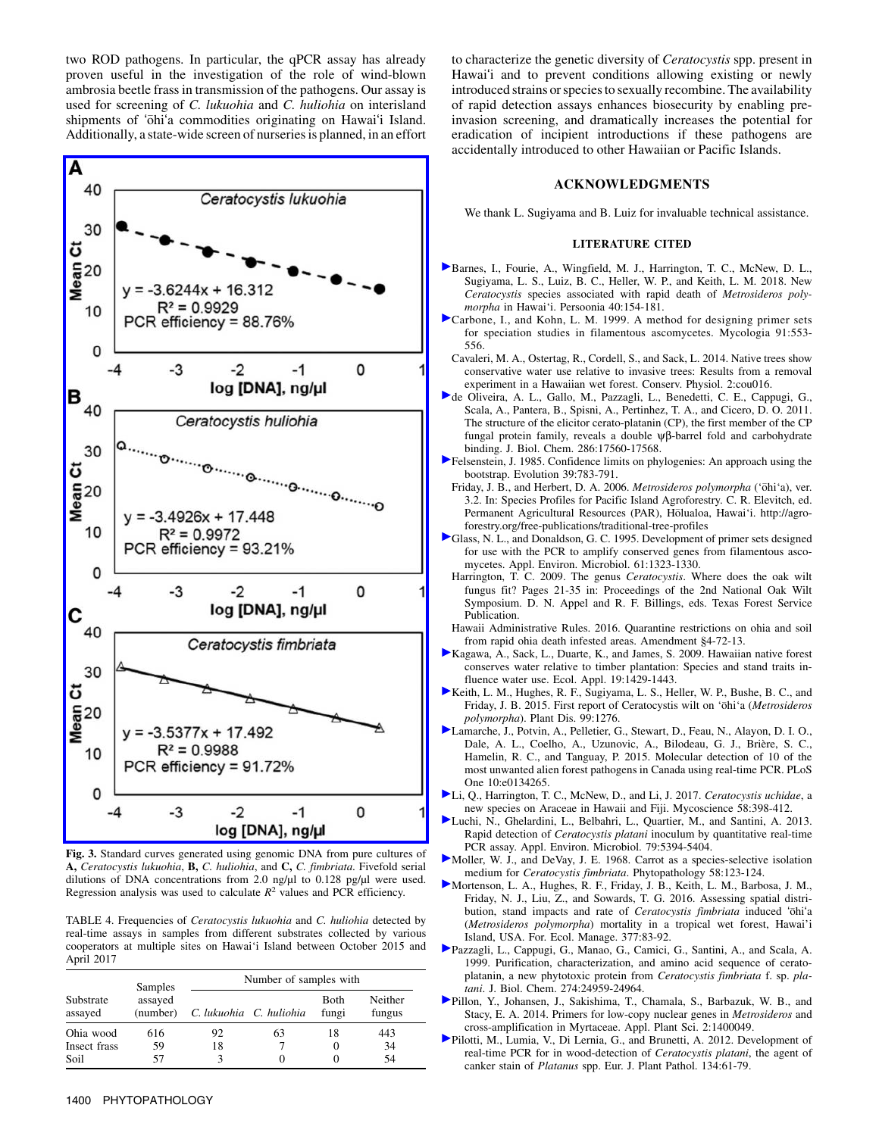<span id="page-5-0"></span>two ROD pathogens. In particular, the qPCR assay has already proven useful in the investigation of the role of wind-blown ambrosia beetle frass in transmission of the pathogens. Our assay is used for screening of C. lukuohia and C. huliohia on interisland shipments of 'ohi'a commodities originating on Hawai'i Island. Additionally, a state-wide screen of nurseries is planned, in an effort



Fig. 3. Standard curves generated using genomic DNA from pure cultures of A, Ceratocystis lukuohia, B, C. huliohia, and C, C. fimbriata. Fivefold serial dilutions of DNA concentrations from 2.0 ng/ $\mu$ l to 0.128 pg/ $\mu$ l were used. Regression analysis was used to calculate  $R^2$  values and PCR efficiency.

TABLE 4. Frequencies of Ceratocystis lukuohia and C. huliohia detected by real-time assays in samples from different substrates collected by various cooperators at multiple sites on Hawai'i Island between October 2015 and April 2017

|                      | Samples             | Number of samples with  |    |                      |                   |  |  |
|----------------------|---------------------|-------------------------|----|----------------------|-------------------|--|--|
| Substrate<br>assayed | assayed<br>(number) | C. lukuohia C. huliohia |    | <b>Both</b><br>fungi | Neither<br>fungus |  |  |
| Ohia wood            | 616                 | 92                      | 63 | 18                   | 443               |  |  |
| Insect frass         | 59                  | 18                      |    |                      | 34                |  |  |
| Soil                 |                     |                         |    |                      | 54                |  |  |

to characterize the genetic diversity of Ceratocystis spp. present in Hawaiʻi and to prevent conditions allowing existing or newly introduced strains or species to sexually recombine. The availability of rapid detection assays enhances biosecurity by enabling preinvasion screening, and dramatically increases the potential for eradication of incipient introductions if these pathogens are accidentally introduced to other Hawaiian or Pacific Islands.

# ACKNOWLEDGMENTS

We thank L. Sugiyama and B. Luiz for invaluable technical assistance.

## LITERATURE CITED

- [B](http://apsjournals.apsnet.org/action/showLinks?doi=10.1094%2FPHYTO-09-17-0311-R&crossref=10.3767%2Fpersoonia.2018.40.07&isi=000439357100008&citationId=p_1)arnes, I., Fourie, A., Wingfield, M. J., Harrington, T. C., McNew, D. L., Sugiyama, L. S., Luiz, B. C., Heller, W. P., and Keith, L. M. 2018. New Ceratocystis species associated with rapid death of Metrosideros polymorpha in Hawai'i. Persoonia 40:154-181.
- [C](http://apsjournals.apsnet.org/action/showLinks?doi=10.1094%2FPHYTO-09-17-0311-R&crossref=10.2307%2F3761358&isi=000080478600017&citationId=p_2)arbone, I., and Kohn, L. M. 1999. A method for designing primer sets for speciation studies in filamentous ascomycetes. Mycologia 91:553- 556.
- Cavaleri, M. A., Ostertag, R., Cordell, S., and Sack, L. 2014. Native trees show conservative water use relative to invasive trees: Results from a removal experiment in a Hawaiian wet forest. Conserv. Physiol. 2:cou016.
- [d](http://apsjournals.apsnet.org/action/showLinks?doi=10.1094%2FPHYTO-09-17-0311-R&pmid=21454637&crossref=10.1074%2Fjbc.M111.223644&isi=000290585200018&citationId=p_4)e Oliveira, A. L., Gallo, M., Pazzagli, L., Benedetti, C. E., Cappugi, G., Scala, A., Pantera, B., Spisni, A., Pertinhez, T. A., and Cicero, D. O. 2011. The structure of the elicitor cerato-platanin (CP), the first member of the CP fungal protein family, reveals a double  $\psi\beta$ -barrel fold and carbohydrate binding. J. Biol. Chem. 286:17560-17568.
- [F](http://apsjournals.apsnet.org/action/showLinks?doi=10.1094%2FPHYTO-09-17-0311-R&pmid=28561359&crossref=10.1111%2Fj.1558-5646.1985.tb00420.x&isi=A1985APJ8100007&citationId=p_5)elsenstein, J. 1985. Confidence limits on phylogenies: An approach using the bootstrap. Evolution 39:783-791.
- Friday, J. B., and Herbert, D. A. 2006. Metrosideros polymorpha ('ōhi'a), ver. 3.2. In: Species Profiles for Pacific Island Agroforestry. C. R. Elevitch, ed. Permanent Agricultural Resources (PAR), Hōlualoa, Hawai'i. [http://agro](http://agroforestry.org/free-publications/traditional-tree-profiles)[forestry.org/free-publications/traditional-tree-profiles](http://agroforestry.org/free-publications/traditional-tree-profiles)
- [G](http://apsjournals.apsnet.org/action/showLinks?doi=10.1094%2FPHYTO-09-17-0311-R&pmid=7747954&isi=A1995QQ36200024&citationId=p_7)lass, N. L., and Donaldson, G. C. 1995. Development of primer sets designed for use with the PCR to amplify conserved genes from filamentous ascomycetes. Appl. Environ. Microbiol. 61:1323-1330.
- Harrington, T. C. 2009. The genus Ceratocystis. Where does the oak wilt fungus fit? Pages 21-35 in: Proceedings of the 2nd National Oak Wilt Symposium. D. N. Appel and R. F. Billings, eds. Texas Forest Service Publication.
- Hawaii Administrative Rules. 2016. Quarantine restrictions on ohia and soil from rapid ohia death infested areas. Amendment §4-72-13.
- [K](http://apsjournals.apsnet.org/action/showLinks?doi=10.1094%2FPHYTO-09-17-0311-R&pmid=19769092&crossref=10.1890%2F08-1704.1&isi=000269075200006&citationId=p_10)agawa, A., Sack, L., Duarte, K., and James, S. 2009. Hawaiian native forest conserves water relative to timber plantation: Species and stand traits influence water use. Ecol. Appl. 19:1429-1443.
- [K](http://apsjournals.apsnet.org/action/showLinks?doi=10.1094%2FPHYTO-09-17-0311-R&system=10.1094%2FPDIS-12-14-1293-PDN&isi=000360866600033&citationId=p_11)eith, L. M., Hughes, R. F., Sugiyama, L. S., Heller, W. P., Bushe, B. C., and Friday, J. B. 2015. First report of Ceratocystis wilt on 'ōhi'a (Metrosideros polymorpha). Plant Dis. 99:1276.
- [L](http://apsjournals.apsnet.org/action/showLinks?doi=10.1094%2FPHYTO-09-17-0311-R&pmid=26274489&crossref=10.1371%2Fjournal.pone.0134265&isi=000359493600024&citationId=p_12)amarche, J., Potvin, A., Pelletier, G., Stewart, D., Feau, N., Alayon, D. I. O., Dale, A. L., Coelho, A., Uzunovic, A., Bilodeau, G. J., Brière, S. C., Hamelin, R. C., and Tanguay, P. 2015. Molecular detection of 10 of the most unwanted alien forest pathogens in Canada using real-time PCR. PLoS One 10:e0134265.
- [L](http://apsjournals.apsnet.org/action/showLinks?doi=10.1094%2FPHYTO-09-17-0311-R&crossref=10.1016%2Fj.myc.2017.06.001&isi=000413735600004&citationId=p_13)i, Q., Harrington, T. C., McNew, D., and Li, J. 2017. Ceratocystis uchidae, a new species on Araceae in Hawaii and Fiji. Mycoscience 58:398-412.
- [L](http://apsjournals.apsnet.org/action/showLinks?doi=10.1094%2FPHYTO-09-17-0311-R&pmid=23811499&crossref=10.1128%2FAEM.01484-13&isi=000322828100035&citationId=p_14)uchi, N., Ghelardini, L., Belbahri, L., Quartier, M., and Santini, A. 2013. Rapid detection of Ceratocystis platani inoculum by quantitative real-time PCR assay. Appl. Environ. Microbiol. 79:5394-5404.
- [M](http://apsjournals.apsnet.org/action/showLinks?doi=10.1094%2FPHYTO-09-17-0311-R&isi=A1968A492500025&citationId=p_15)oller, W. J., and DeVay, J. E. 1968. Carrot as a species-selective isolation medium for Ceratocystis fimbriata. Phytopathology 58:123-124.
- [M](http://apsjournals.apsnet.org/action/showLinks?doi=10.1094%2FPHYTO-09-17-0311-R&crossref=10.1016%2Fj.foreco.2016.06.026&isi=000381843400009&citationId=p_16)ortenson, L. A., Hughes, R. F., Friday, J. B., Keith, L. M., Barbosa, J. M., Friday, N. J., Liu, Z., and Sowards, T. G. 2016. Assessing spatial distribution, stand impacts and rate of Ceratocystis fimbriata induced 'ōhi'a (Metrosideros polymorpha) mortality in a tropical wet forest, Hawai'i Island, USA. For. Ecol. Manage. 377:83-92.
- [P](http://apsjournals.apsnet.org/action/showLinks?doi=10.1094%2FPHYTO-09-17-0311-R&pmid=10455173&crossref=10.1074%2Fjbc.274.35.24959&isi=000082193400072&citationId=p_17)azzagli, L., Cappugi, G., Manao, G., Camici, G., Santini, A., and Scala, A. 1999. Purification, characterization, and amino acid sequence of ceratoplatanin, a new phytotoxic protein from Ceratocystis fimbriata f. sp. platani. J. Biol. Chem. 274:24959-24964.
- [P](http://apsjournals.apsnet.org/action/showLinks?doi=10.1094%2FPHYTO-09-17-0311-R&crossref=10.3732%2Fapps.1400049&isi=000342561300002&citationId=p_18)illon, Y., Johansen, J., Sakishima, T., Chamala, S., Barbazuk, W. B., and Stacy, E. A. 2014. Primers for low-copy nuclear genes in Metrosideros and cross-amplification in Myrtaceae. Appl. Plant Sci. 2:1400049.
- [P](http://apsjournals.apsnet.org/action/showLinks?doi=10.1094%2FPHYTO-09-17-0311-R&crossref=10.1007%2Fs10658-012-0022-5&isi=000306739600006&citationId=p_19)ilotti, M., Lumia, V., Di Lernia, G., and Brunetti, A. 2012. Development of real-time PCR for in wood-detection of Ceratocystis platani, the agent of canker stain of Platanus spp. Eur. J. Plant Pathol. 134:61-79.